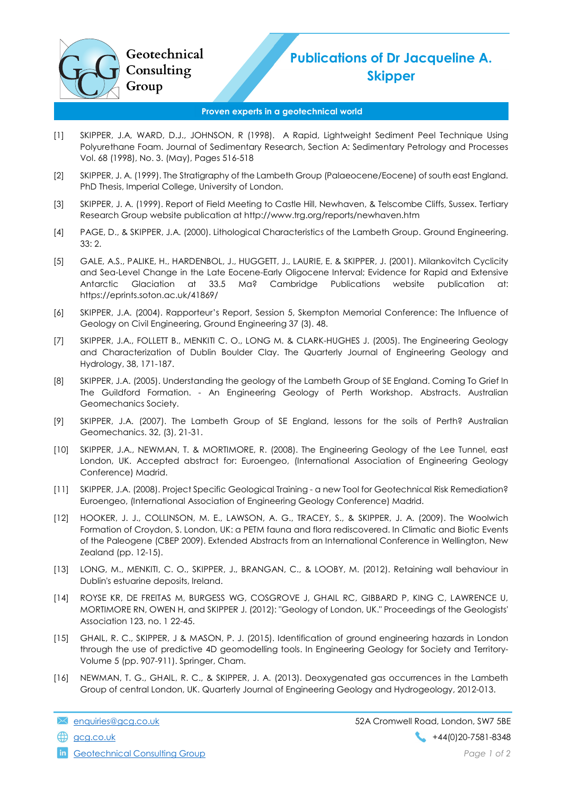

## Publications of Dr Jacqueline A. **Skipper**

## Proven experts in a geotechnical world

- [1] SKIPPER, J.A, WARD, D.J., JOHNSON, R (1998). A Rapid, Lightweight Sediment Peel Technique Using Polyurethane Foam. Journal of Sedimentary Research, Section A: Sedimentary Petrology and Processes Vol. 68 (1998), No. 3. (May), Pages 516-518
- [2] SKIPPER, J. A. (1999). The Stratigraphy of the Lambeth Group (Palaeocene/Eocene) of south east England. PhD Thesis, Imperial College, University of London.
- [3] SKIPPER, J. A. (1999). Report of Field Meeting to Castle Hill, Newhaven, & Telscombe Cliffs, Sussex. Tertiary Research Group website publication at http://www.trg.org/reports/newhaven.htm
- [4] PAGE, D., & SKIPPER, J.A. (2000). Lithological Characteristics of the Lambeth Group. Ground Engineering. 33: 2.
- [5] GALE, A.S., PALIKE, H., HARDENBOL, J., HUGGETT, J., LAURIE, E. & SKIPPER, J. (2001). Milankovitch Cyclicity and Sea-Level Change in the Late Eocene-Early Oligocene Interval; Evidence for Rapid and Extensive Antarctic Glaciation at 33.5 Ma? Cambridge Publications website publication at: https://eprints.soton.ac.uk/41869/
- [6] SKIPPER, J.A. (2004). Rapporteur's Report, Session 5, Skempton Memorial Conference: The Influence of Geology on Civil Engineering, Ground Engineering 37 (3). 48.
- [7] SKIPPER, J.A., FOLLETT B., MENKITI C. O., LONG M. & CLARK-HUGHES J. (2005). The Engineering Geology and Characterization of Dublin Boulder Clay. The Quarterly Journal of Engineering Geology and Hydrology, 38, 171-187.
- [8] SKIPPER, J.A. (2005). Understanding the geology of the Lambeth Group of SE England. Coming To Grief In The Guildford Formation. - An Engineering Geology of Perth Workshop. Abstracts. Australian Geomechanics Society.
- [9] SKIPPER, J.A. (2007). The Lambeth Group of SE England, lessons for the soils of Perth? Australian Geomechanics. 32, (3), 21-31.
- [10] SKIPPER, J.A., NEWMAN, T. & MORTIMORE, R. (2008). The Engineering Geology of the Lee Tunnel, east London, UK. Accepted abstract for: Euroengeo, (International Association of Engineering Geology Conference) Madrid.
- [11] SKIPPER, J.A. (2008). Project Specific Geological Training a new Tool for Geotechnical Risk Remediation? Euroengeo, (International Association of Engineering Geology Conference) Madrid.
- [12] HOOKER, J. J., COLLINSON, M. E., LAWSON, A. G., TRACEY, S., & SKIPPER, J. A. (2009). The Woolwich Formation of Croydon, S. London, UK: a PETM fauna and flora rediscovered. In Climatic and Biotic Events of the Paleogene (CBEP 2009). Extended Abstracts from an International Conference in Wellington, New Zealand (pp. 12-15).
- [13] LONG, M., MENKITI, C. O., SKIPPER, J., BRANGAN, C., & LOOBY, M. (2012). Retaining wall behaviour in Dublin's estuarine deposits, Ireland.
- [14] ROYSE KR, DE FREITAS M, BURGESS WG, COSGROVE J, GHAIL RC, GIBBARD P, KING C, LAWRENCE U, MORTIMORE RN, OWEN H, and SKIPPER J. (2012): "Geology of London, UK." Proceedings of the Geologists' Association 123, no. 1 22-45.
- [15] GHAIL, R. C., SKIPPER, J & MASON, P. J. (2015). Identification of ground engineering hazards in London through the use of predictive 4D geomodelling tools. In Engineering Geology for Society and Territory-Volume 5 (pp. 907-911). Springer, Cham.
- [16] NEWMAN, T. G., GHAIL, R. C., & SKIPPER, J. A. (2013). Deoxygenated gas occurrences in the Lambeth Group of central London, UK. Quarterly Journal of Engineering Geology and Hydrogeology, 2012-013.

enquiries@gcg.co.uk 52A Cromwell Road, London, SW7 5BE  $\bigoplus$  gcg.co.uk +44(0)20-7581-8348

**in** Geotechnical Consulting Group **Page 1 of 2 Page 1 of 2**